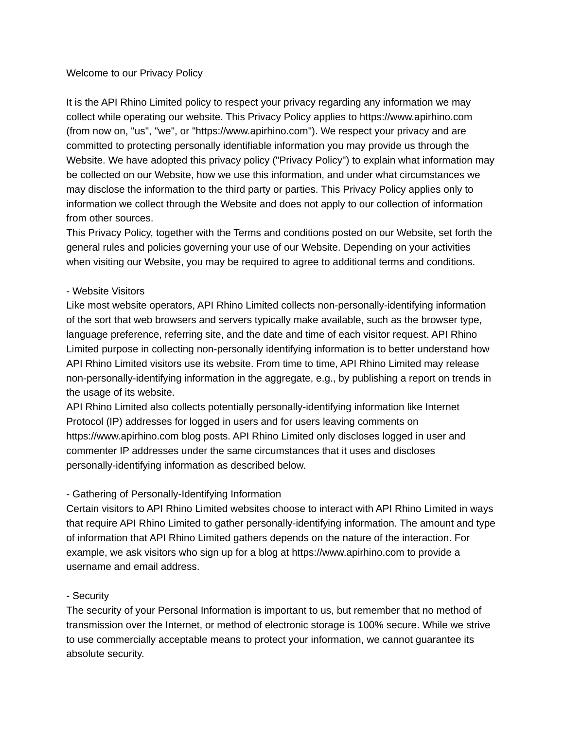#### Welcome to our Privacy Policy

It is the API Rhino Limited policy to respect your privacy regarding any information we may collect while operating our website. This Privacy Policy applies to https://www.apirhino.com (from now on, "us", "we", or "https://www.apirhino.com"). We respect your privacy and are committed to protecting personally identifiable information you may provide us through the Website. We have adopted this privacy policy ("Privacy Policy") to explain what information may be collected on our Website, how we use this information, and under what circumstances we may disclose the information to the third party or parties. This Privacy Policy applies only to information we collect through the Website and does not apply to our collection of information from other sources.

This Privacy Policy, together with the Terms and conditions posted on our Website, set forth the general rules and policies governing your use of our Website. Depending on your activities when visiting our Website, you may be required to agree to additional terms and conditions.

#### - Website Visitors

Like most website operators, API Rhino Limited collects non-personally-identifying information of the sort that web browsers and servers typically make available, such as the browser type, language preference, referring site, and the date and time of each visitor request. API Rhino Limited purpose in collecting non-personally identifying information is to better understand how API Rhino Limited visitors use its website. From time to time, API Rhino Limited may release non-personally-identifying information in the aggregate, e.g., by publishing a report on trends in the usage of its website.

API Rhino Limited also collects potentially personally-identifying information like Internet Protocol (IP) addresses for logged in users and for users leaving comments on https://www.apirhino.com blog posts. API Rhino Limited only discloses logged in user and commenter IP addresses under the same circumstances that it uses and discloses personally-identifying information as described below.

### - Gathering of Personally-Identifying Information

Certain visitors to API Rhino Limited websites choose to interact with API Rhino Limited in ways that require API Rhino Limited to gather personally-identifying information. The amount and type of information that API Rhino Limited gathers depends on the nature of the interaction. For example, we ask visitors who sign up for a blog at https://www.apirhino.com to provide a username and email address.

### - Security

The security of your Personal Information is important to us, but remember that no method of transmission over the Internet, or method of electronic storage is 100% secure. While we strive to use commercially acceptable means to protect your information, we cannot guarantee its absolute security.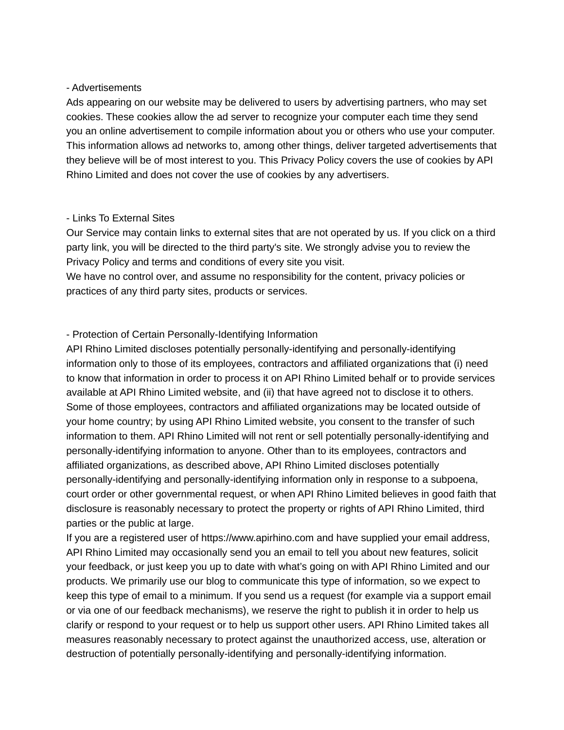#### - Advertisements

Ads appearing on our website may be delivered to users by advertising partners, who may set cookies. These cookies allow the ad server to recognize your computer each time they send you an online advertisement to compile information about you or others who use your computer. This information allows ad networks to, among other things, deliver targeted advertisements that they believe will be of most interest to you. This Privacy Policy covers the use of cookies by API Rhino Limited and does not cover the use of cookies by any advertisers.

### - Links To External Sites

Our Service may contain links to external sites that are not operated by us. If you click on a third party link, you will be directed to the third party's site. We strongly advise you to review the Privacy Policy and terms and conditions of every site you visit.

We have no control over, and assume no responsibility for the content, privacy policies or practices of any third party sites, products or services.

# - Protection of Certain Personally-Identifying Information

API Rhino Limited discloses potentially personally-identifying and personally-identifying information only to those of its employees, contractors and affiliated organizations that (i) need to know that information in order to process it on API Rhino Limited behalf or to provide services available at API Rhino Limited website, and (ii) that have agreed not to disclose it to others. Some of those employees, contractors and affiliated organizations may be located outside of your home country; by using API Rhino Limited website, you consent to the transfer of such information to them. API Rhino Limited will not rent or sell potentially personally-identifying and personally-identifying information to anyone. Other than to its employees, contractors and affiliated organizations, as described above, API Rhino Limited discloses potentially personally-identifying and personally-identifying information only in response to a subpoena, court order or other governmental request, or when API Rhino Limited believes in good faith that disclosure is reasonably necessary to protect the property or rights of API Rhino Limited, third parties or the public at large.

If you are a registered user of https://www.apirhino.com and have supplied your email address, API Rhino Limited may occasionally send you an email to tell you about new features, solicit your feedback, or just keep you up to date with what's going on with API Rhino Limited and our products. We primarily use our blog to communicate this type of information, so we expect to keep this type of email to a minimum. If you send us a request (for example via a support email or via one of our feedback mechanisms), we reserve the right to publish it in order to help us clarify or respond to your request or to help us support other users. API Rhino Limited takes all measures reasonably necessary to protect against the unauthorized access, use, alteration or destruction of potentially personally-identifying and personally-identifying information.